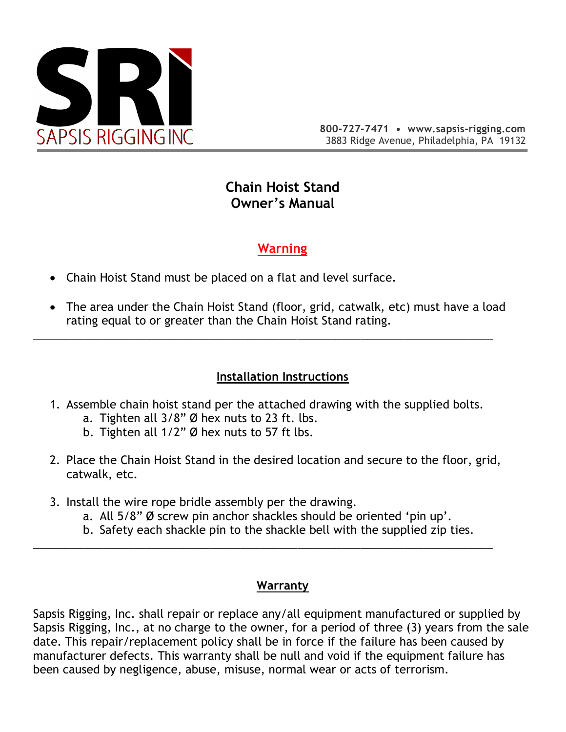

# **Chain Hoist Stand Owner's Manual**

# **Warning**

- Chain Hoist Stand must be placed on a flat and level surface.
- The area under the Chain Hoist Stand (floor, grid, catwalk, etc) must have a load rating equal to or greater than the Chain Hoist Stand rating.

## **Installation Instructions**

1. Assemble chain hoist stand per the attached drawing with the supplied bolts.

\_\_\_\_\_\_\_\_\_\_\_\_\_\_\_\_\_\_\_\_\_\_\_\_\_\_\_\_\_\_\_\_\_\_\_\_\_\_\_\_\_\_\_\_\_\_\_\_\_\_\_\_\_\_\_\_\_\_\_\_\_\_\_\_\_\_\_\_\_\_\_\_\_

- a. Tighten all 3/8" Ø hex nuts to 23 ft. lbs.
- b. Tighten all 1/2" Ø hex nuts to 57 ft lbs.
- 2. Place the Chain Hoist Stand in the desired location and secure to the floor, grid, catwalk, etc.
- 3. Install the wire rope bridle assembly per the drawing.
	- a. All 5/8" Ø screw pin anchor shackles should be oriented 'pin up'.

\_\_\_\_\_\_\_\_\_\_\_\_\_\_\_\_\_\_\_\_\_\_\_\_\_\_\_\_\_\_\_\_\_\_\_\_\_\_\_\_\_\_\_\_\_\_\_\_\_\_\_\_\_\_\_\_\_\_\_\_\_\_\_\_\_\_\_\_\_\_\_\_\_

b. Safety each shackle pin to the shackle bell with the supplied zip ties.

## **Warranty**

Sapsis Rigging, Inc. shall repair or replace any/all equipment manufactured or supplied by Sapsis Rigging, Inc., at no charge to the owner, for a period of three (3) years from the sale date. This repair/replacement policy shall be in force if the failure has been caused by manufacturer defects. This warranty shall be null and void if the equipment failure has been caused by negligence, abuse, misuse, normal wear or acts of terrorism.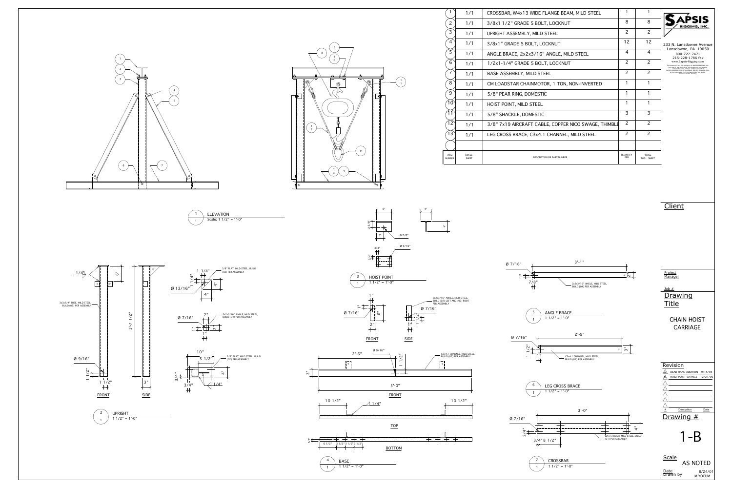



| $\mathbf{1}$                 | 1/1                           | <b>CROSSBAF</b>  |
|------------------------------|-------------------------------|------------------|
| $\overline{c}$               | 1/1                           | 3/8x11/2         |
| 3                            | 1/1                           | <b>UPRIGHT A</b> |
| $\overline{4}$               | 1/1                           | 3/8x1" GF        |
| 5                            | 1/1                           | <b>ANGLE BR.</b> |
| 6                            | 1/1                           | $1/2x1-1/4$      |
| $\overline{7}$               | 1/1                           | <b>BASE ASS</b>  |
| 8                            | 1/1                           | <b>CM LOADS</b>  |
| 9                            | 1/1                           | <b>5/8" PEAR</b> |
| 10                           | 1/1                           | <b>HOIST POI</b> |
| 11                           | 1/1                           | 5/8" SHA         |
| 12                           | 1/1                           | $3/8"$ 7x19      |
| $\sqrt{13}$                  | 1/1                           | <b>LEG CROS</b>  |
|                              |                               |                  |
| <b>ITEM</b><br><b>NUMBER</b> | <b>DETAIL</b><br><b>SHEET</b> |                  |
|                              |                               |                  |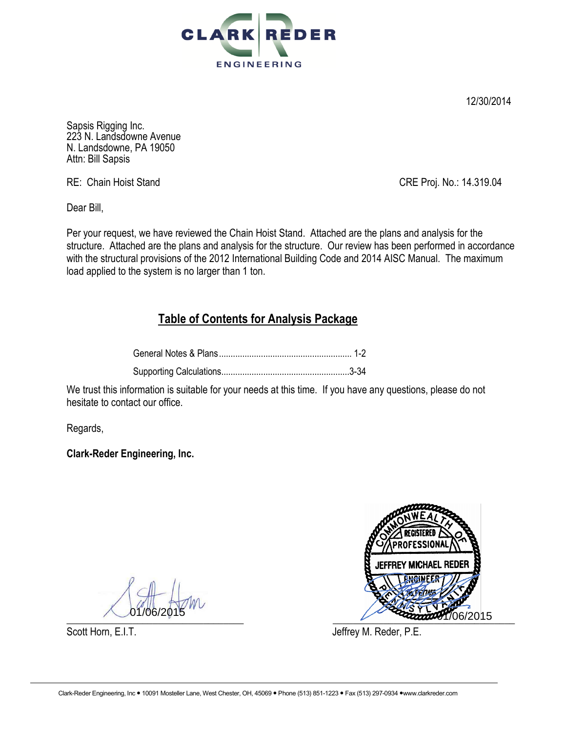

12/30/2014

Sapsis Rigging Inc. 223 N. Landsdowne Avenue N. Landsdowne, PA 19050 Attn: Bill Sapsis

RE: Chain Hoist Stand CRE Proj. No.: 14.319.04

Dear Bill,

Per your request, we have reviewed the Chain Hoist Stand. Attached are the plans and analysis for the structure. Attached are the plans and analysis for the structure. Our review has been performed in accordance with the structural provisions of the 2012 International Building Code and 2014 AISC Manual. The maximum load applied to the system is no larger than 1 ton.

## **Table of Contents for Analysis Package**

We trust this information is suitable for your needs at this time. If you have any questions, please do not hesitate to contact our office.

Regards,

**Clark-Reder Engineering, Inc.** 



Scott Horn, E.I.T. Scott Horn, E.I.T.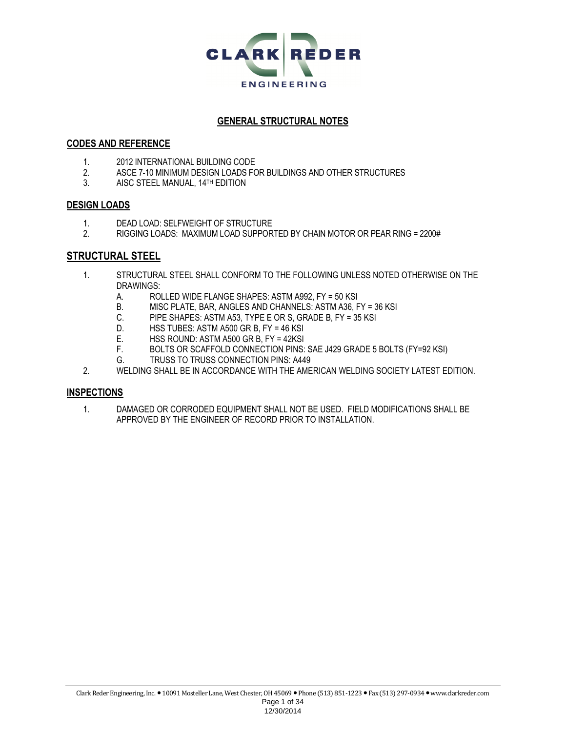

#### **GENERAL STRUCTURAL NOTES**

#### **CODES AND REFERENCE**

- 1. 2012 INTERNATIONAL BUILDING CODE<br>2. ASCE 7-10 MINIMUM DESIGN LOADS FO
- 2. ASCE 7-10 MINIMUM DESIGN LOADS FOR BUILDINGS AND OTHER STRUCTURES
- 3. AISC STEEL MANUAL, 14TH EDITION

#### **DESIGN LOADS**

- 1. DEAD LOAD: SELFWEIGHT OF STRUCTURE
- 2. RIGGING LOADS: MAXIMUM LOAD SUPPORTED BY CHAIN MOTOR OR PEAR RING = 2200#

### **STRUCTURAL STEEL**

- 1. STRUCTURAL STEEL SHALL CONFORM TO THE FOLLOWING UNLESS NOTED OTHERWISE ON THE DRAWINGS:
	- A. ROLLED WIDE FLANGE SHAPES: ASTM A992, FY = 50 KSI<br>B. MISC PLATE, BAR, ANGLES AND CHANNELS: ASTM A36, F
	- B. MISC PLATE, BAR, ANGLES AND CHANNELS: ASTM A36, FY = 36 KSI
	- C. PIPE SHAPES: ASTM A53, TYPE E OR S, GRADE B, FY = 35 KSI
	- D. HSS TUBES: ASTM A500 GR B, FY = 46 KSI<br>E. HSS ROUND: ASTM A500 GR B, FY = 42KSI
	- HSS ROUND: ASTM A500 GR B, FY = 42KSI
	- F. BOLTS OR SCAFFOLD CONNECTION PINS: SAE J429 GRADE 5 BOLTS (FY=92 KSI)
	- G. TRUSS TO TRUSS CONNECTION PINS: A449
- 2. WELDING SHALL BE IN ACCORDANCE WITH THE AMERICAN WELDING SOCIETY LATEST EDITION.

#### **INSPECTIONS**

1. DAMAGED OR CORRODED EQUIPMENT SHALL NOT BE USED. FIELD MODIFICATIONS SHALL BE APPROVED BY THE ENGINEER OF RECORD PRIOR TO INSTALLATION.